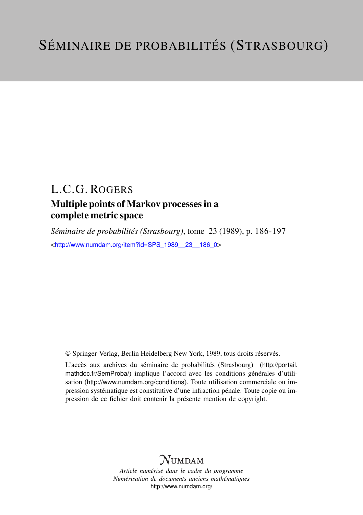# L.C.G. ROGERS

## Multiple points of Markov processes in a complete metric space

*Séminaire de probabilités (Strasbourg)*, tome 23 (1989), p. 186-197 <[http://www.numdam.org/item?id=SPS\\_1989\\_\\_23\\_\\_186\\_0](http://www.numdam.org/item?id=SPS_1989__23__186_0)>

© Springer-Verlag, Berlin Heidelberg New York, 1989, tous droits réservés.

L'accès aux archives du séminaire de probabilités (Strasbourg) ([http://portail.](http://portail.mathdoc.fr/SemProba/) [mathdoc.fr/SemProba/](http://portail.mathdoc.fr/SemProba/)) implique l'accord avec les conditions générales d'utilisation (<http://www.numdam.org/conditions>). Toute utilisation commerciale ou impression systématique est constitutive d'une infraction pénale. Toute copie ou impression de ce fichier doit contenir la présente mention de copyright.

# **NUMDAM**

*Article numérisé dans le cadre du programme Numérisation de documents anciens mathématiques* <http://www.numdam.org/>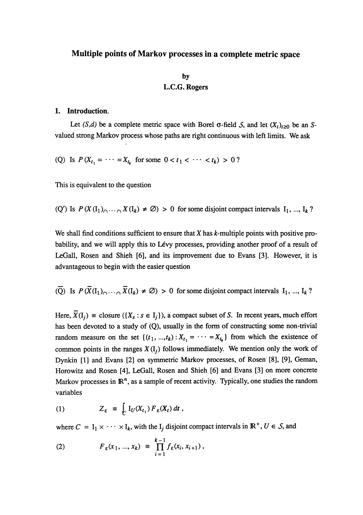### Multiple points of Markov processes in a complete metric space

### by L.C.G. Rogers

#### 1. Introduction.

Let  $(S,d)$  be a complete metric space with Borel  $\sigma$ -field S, and let  $(X_t)_{t\geq 0}$  be an Svalued strong Markov process whose paths are right continuous with left limits. We ask

(Q) Is  $P(X_{t_1} = \cdots = X_{t_k}$  for some  $0 < t_1 < \cdots < t_k$ ) > 0?

This is equivalent to the question '

(Q') Is  $P(X(I_1)_{\cap \cdots \cap} X(I_k) \neq \emptyset) > 0$  for some disjoint compact intervals  $I_1, ..., I_k$ ?

We shall find conditions sufficient to ensure that  $X$  has  $k$ -multiple points with positive probability, and we will apply this to Levy processes, providing another proof of a result of LeGall, Rosen and Shieh [6], and its improvement due to Evans [3]. However, it is advantageous to begin with the easier question

( $\overline{Q}$ ) Is  $P(\overline{X}(I_1)_{\cap \cdots \cap} \overline{X}(I_k) \neq \emptyset) > 0$  for some disjoint compact intervals  $I_1, ..., I_k$ ?

Here,  $\overline{X}(I_i) \equiv$  closure  $(\{X_s : s \in I_i\})$ , a compact subset of S. In recent years, much effort has been devoted to a study of (Q), usually in the form of constructing some non-trivial random measure on the set  $\{(t_1, ..., t_k): X_{t_1} = \cdots = X_{t_k}\}\$  from which the existence of common points in the ranges  $X(I_i)$  follows immediately. We mention only the work of Dynkin [1] and Evans [2] on symmetric Markov processes, of Rosen [8], [9], Geman, Horowitz and Rosen [4], LeGall, Rosen and Shieh [6] and Evans [3] on more concrete Markov processes in  $\mathbb{R}^n$ , as a sample of recent activity. Typically, one studies the random variables

(1) 
$$
Z_{\varepsilon} = \int_U I_U(X_{t_1}) F_{\varepsilon}(X_t) dt,
$$

where  $C = I_1 \times \cdots \times I_k$ , with the  $I_j$  disjoint compact intervals in  $\mathbb{R}^+$ ,  $U \in S$ , and

(2) 
$$
F_{\varepsilon}(x_1, ..., x_k) = \prod_{i=1}^{k-1} f_{\varepsilon}(x_i, x_{i+1}),
$$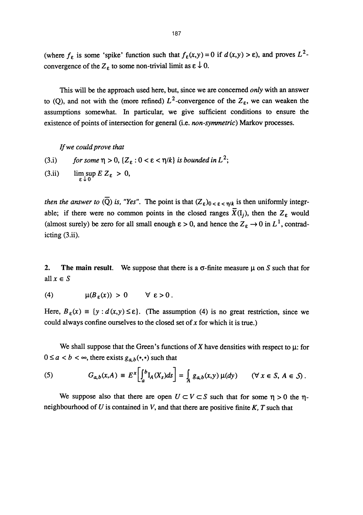(where  $f_{\varepsilon}$  is some 'spike' function such that  $f_{\varepsilon}(x,y) = 0$  if  $d(x,y) > \varepsilon$ ), and proves  $L^2$ convergence of the  $Z_{\varepsilon}$  to some non-trivial limit as  $\varepsilon \downarrow 0$ .

This will be the approach used here, but, since we are concerned only with an answer to (Q), and not with the (more refined)  $L^2$ -convergence of the  $Z_{\varepsilon}$ , we can weaken the assumptions somewhat. In particular, we give sufficient conditions to ensure the existence of points of intersection for general (i.e. non-symmetric) Markov processes.

If we could prove that

(3.i) for some  $\eta > 0$ ,  $\{Z_{\varepsilon}: 0 < \varepsilon < \eta/k\}$  is bounded in  $L^2$ ; (3.ii)  $\limsup_{\varepsilon \downarrow 0} E Z_{\varepsilon} > 0$ ,

then the answer to  $\overline{Q}$ ) is, "Yes". The point is that  $(Z_{\varepsilon})_{0 \leq \varepsilon \leq \eta/k}$  is then uniformly integrable; if there were no common points in the closed ranges  $\bar{X}(I_i)$ , then the  $Z_{\varepsilon}$  would (almost surely) be zero for all small enough  $\varepsilon > 0$ , and hence the  $Z_{\varepsilon} \to 0$  in  $L^{1}$ , contradicting (3.ii).

2. The main result. We suppose that there is a  $\sigma$ -finite measure  $\mu$  on S such that for all  $x \in S$ 

(4) 
$$
\mu(B_{\varepsilon}(x)) > 0 \quad \forall \varepsilon > 0.
$$

Here,  $B_{\varepsilon}(x) \equiv \{y : d(x,y) \le \varepsilon\}$ . (The assumption (4) is no great restriction, since we could always confine ourselves to the closed set of  $x$  for which it is true.)

We shall suppose that the Green's functions of X have densities with respect to  $\mu$ : for  $0 \le a < b < \infty$ , there exists  $g_{a,b}(\cdot, \cdot)$  such that

(5) 
$$
G_{a,b}(x,A) \equiv E^x \bigg[ \int_a^b I_A(X_s) ds \bigg] = \int_A g_{a,b}(x,y) \mu(dy) \quad (\forall x \in S, A \in S).
$$

We suppose also that there are open  $U \subset V \subset S$  such that for some  $\eta > 0$  the  $\eta$ neighbourhood of  $U$  is contained in  $V$ , and that there are positive finite  $K$ ,  $T$  such that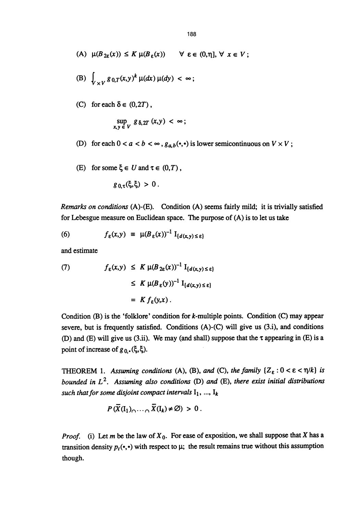- (A)  $\mu(B_{2\varepsilon}(x)) \leq K \mu(B_{\varepsilon}(x)) \quad \forall \varepsilon \in (0,\eta], \forall x \in V;$
- (B)  $\int_{V \cup V} g_{0,T}(x,y)^k \mu(dx) \mu(dy) < \infty;$
- (C) for each  $\delta \in (0, 2T)$ ,

$$
\sup_{x,y \in V} g_{\delta, 2T}(x,y) < \infty;
$$

- (D) for each  $0 < a < b < \infty$ ,  $g_{a,b}(\cdot, \cdot)$  is lower semicontinuous on  $V \times V$ ;
- (E) for some  $\xi \in U$  and  $\tau \in (0,T)$ ,

$$
g_{0,\tau}(\xi,\xi) > 0.
$$

Remarks on conditions (A)-(E). Condition (A) seems fairly mild; it is trivially satisfied for Lebesgue measure on Euclidean space. The purpose of (A) is to let us take

(6) 
$$
f_{\varepsilon}(x,y) = \mu(B_{\varepsilon}(x))^{-1} I_{\{d(x,y)\leq \varepsilon\}}
$$

and estimate

(7) 
$$
f_{\varepsilon}(x,y) \leq K \mu(B_{2\varepsilon}(x))^{-1} I_{\{d(x,y)\leq \varepsilon\}} \leq K \mu(B_{\varepsilon}(y))^{-1} I_{\{d(x,y)\leq \varepsilon\}} = K f_{\varepsilon}(y,x).
$$

Condition (B) is the 'folklore' condition for k-multiple points. Condition (C) may appear severe, but is frequently satisfied. Conditions (A)-(C) will give us (3.i), and conditions (D) and (E) will give us (3.ii). We may (and shall) suppose that the  $\tau$  appearing in (E) is a point of increase of  $g_0$ . ( $\xi$ , $\xi$ ).

THEOREM 1. Assuming conditions (A), (B), and (C), the family  $\{Z_{\varepsilon}: 0 < \varepsilon < \eta/k\}$  is bounded in  $L^2$ . Assuming also conditions (D) and (E), there exist initial distributions such that for some disjoint compact intervals  $I_1$ , ...,  $I_k$ 

$$
P(\overline{X}(I_1)_{\cap \cdots \cap} \overline{X}(I_k) \neq \emptyset) > 0.
$$

*Proof.* (i) Let m be the law of  $X_0$ . For ease of exposition, we shall suppose that X has a transition density  $p_t(\cdot, \cdot)$  with respect to  $\mu$ ; the result remains true without this assumption though.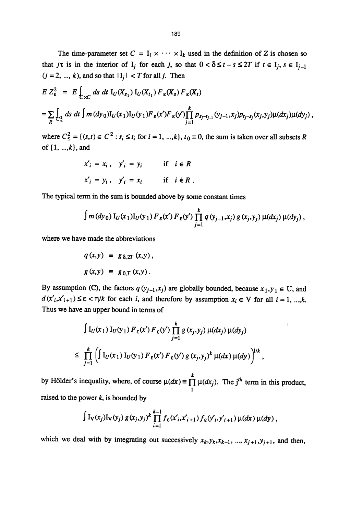The time-parameter set  $C = I_1 \times \cdots \times I_k$  used in the definition of Z is chosen so that  $j\tau$  is in the interior of  $I_j$  for each j, so that  $0 < \delta \le t - s \le 2T$  if  $t \in I_j$ ,  $s \in I_{j-1}$  $(j = 2, ..., k)$ , and so that  $|I_j| < T$  for all j. Then

$$
E Z_{\varepsilon}^2 = E \int_{-\infty}^{\infty} ds \, dt \, I_U(X_{s_1}) \, I_U(X_{t_1}) \, F_{\varepsilon}(X_s) \, F_{\varepsilon}(X_t)
$$
  
= 
$$
\sum_{R} \int_{\varepsilon_2^2} ds \, dt \int m \, (dy_0) I_U(x_1) I_U(y_1) \, F_{\varepsilon}(x') \, F_{\varepsilon}(y') \prod_{j=1}^k p_{s_j - t_{j-1}}(y_{j-1}, x_j) p_{t_j - s_j}(x_j, y_j) \mu(dx_j) \mu(dy_j) ,
$$

where  $C_5^2 = \{(s,t) \in C^2 : s_i \le t_i \text{ for } i = 1, ..., k\}, t_0 \equiv 0$ , the sum is taken over all subsets R of  $\{1, ..., k\}$ , and

$$
x'_{i} = x_{i}, \quad y'_{i} = y_{i} \qquad \text{if} \quad i \in R
$$
  

$$
x'_{i} = y_{i}, \quad y'_{i} = x_{i} \qquad \text{if} \quad i \notin R
$$

The typical term in the sum is bounded above by some constant times

$$
\int m(dy_0) I_U(x_1) I_U(y_1) F_{\varepsilon}(x') F_{\varepsilon}(y') \prod_{j=1}^k q(y_{j-1},x_j) g(x_j,y_j) \mu(dx_j) \mu(dy_j),
$$

where we have made the abbreviations

$$
q(x,y) \equiv g_{\delta, 2T}(x,y),
$$
  

$$
g(x,y) \equiv g_{0,T}(x,y).
$$

By assumption (C), the factors  $q(y_{j-1},x_j)$  are globally bounded, because  $x_1,y_1 \in U$ , and  $d(x'_i,x'_{i+1}) \leq \varepsilon < \eta/k$  for each i, and therefore by assumption  $x_i \in V$  for all  $i = 1, ..., k$ . Thus we have an upper bound in terms of

$$
\int I_U(x_1) I_U(y_1) F_{\varepsilon}(x') F_{\varepsilon}(y') \prod_{j=1}^k g(x_j, y_j) \mu(dx_j) \mu(dy_j)
$$
  

$$
\leq \prod_{j=1}^k \left( \int I_U(x_1) I_U(y_1) F_{\varepsilon}(x') F_{\varepsilon}(y') g(x_j, y_j)^k \mu(dx) \mu(dy) \right)^{1/k},
$$

by Hölder's inequality, where, of course  $\mu(dx) \equiv \prod_1 \mu(dx_j)$ . The j<sup>th</sup> term in this product, raised to the power  $k$ , is bounded by

$$
\int I_V(x_j) I_V(y_j) g(x_j,y_j)^k \prod_{i=1}^{k-1} f_{\varepsilon}(x'_i,x'_{i+1}) f_{\varepsilon}(y'_i,y'_{i+1}) \mu(dx) \mu(dy),
$$

which we deal with by integrating out successively  $x_k, y_k, x_{k-1}, ..., x_{j+1}, y_{j+1}$ , and then,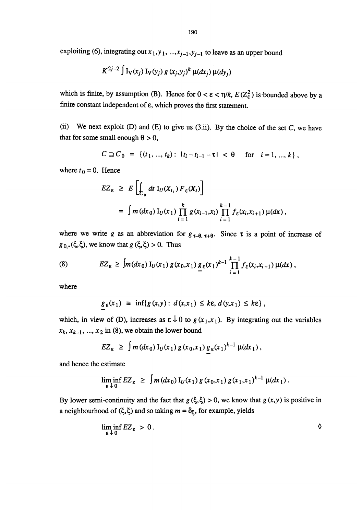expounding (6), integrating out 
$$
x_1, y_1, ..., x_{j-1}, y_{j-1}
$$
 to leave as an upper bound  

$$
K^{2j-2} \int I_V(x_j) I_V(y_j) g(x_j, y_j)^k \mu(dx_j) \mu(dy_j)
$$

which is finite, by assumption (B). Hence for  $0 < \varepsilon < \eta/k$ ,  $E(Z_{\varepsilon}^2)$  is bounded above by a finite constant independent of  $\varepsilon$ , which proves the first statement.

(ii) We next exploit (D) and (E) to give us  $(3.ii)$ . By the choice of the set C, we have that for some small enough  $\theta > 0$ ,

$$
C \supseteq C_0 = \{ (t_1, ..., t_k) : |t_i - t_{i-1} - \tau| < \theta \quad \text{for} \quad i = 1, ..., k \},
$$

where  $t_0 = 0$ . Hence

$$
EZ_{\varepsilon} \geq E\left[\int_{C_0} dt \, I_U(X_{t_1}) \, F_{\varepsilon}(X_t)\right]
$$
  
= 
$$
\int m(dx_0) \, I_U(x_1) \prod_{i=1}^k g(x_{i-1}, x_i) \prod_{i=1}^{k-1} f_{\varepsilon}(x_i, x_{i+1}) \, \mu(dx),
$$

where we write g as an abbreviation for  $g_{\tau-\theta, \tau+\theta}$ . Since  $\tau$  is a point of increase of  $g_0$ .( $\xi, \xi$ ), we know that  $g(\xi, \xi) > 0$ . Thus

(8) 
$$
EZ_{\varepsilon} \geq \int m(dx_0) I_U(x_1) g(x_0, x_1) g_{\varepsilon}(x_1)^{k-1} \prod_{i=1}^{k-1} f_{\varepsilon}(x_i, x_{i+1}) \mu(dx),
$$

where

$$
g_{\varepsilon}(x_1) \equiv \inf \{ g(x,y) : d(x,x_1) \leq k\varepsilon, d(y,x_1) \leq k\varepsilon \},
$$

which, in view of (D), increases as  $\epsilon \downarrow 0$  to  $g(x_1, x_1)$ . By integrating out the variables  $x_k$ ,  $x_{k-1}$ , ...,  $x_2$  in (8), we obtain the lower bound

$$
EZ_{\varepsilon} \geq \int m(dx_0) I_U(x_1) g(x_0,x_1) g_{\varepsilon}(x_1)^{k-1} \mu(dx_1),
$$

and hence the estimate

$$
\liminf_{\varepsilon \downarrow 0} EZ_{\varepsilon} \geq \int m(dx_0) I_U(x_1) g(x_0,x_1) g(x_1,x_1)^{k-1} \mu(dx_1).
$$

By lower semi-continuity and the fact that  $g(\xi, \xi) > 0$ , we know that  $g(x, y)$  is positive in a neighbourhood of  $(\xi, \xi)$  and so taking  $m = \delta_{\xi}$ , for example, yields

$$
\liminf_{\varepsilon \downarrow 0} EZ_{\varepsilon} > 0.
$$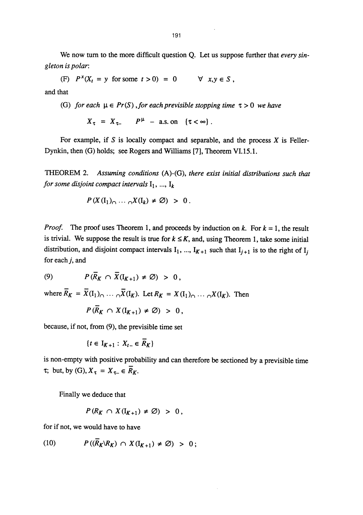We now turn to the more difficult question Q. Let us suppose further that *every sin*gleton is polar:

(F)  $P^x(X_t = y \text{ for some } t > 0) = 0 \quad \forall x, y \in S$ , and that

(G) for each  $\mu \in Pr(S)$ , for each previsible stopping time  $\tau > 0$  we have

 $X_{\tau} = X_{\tau-}$   $P^{\mu}$  – a.s. on  $\{\tau < \infty\}$ .

For example, if S is locally compact and separable, and the process  $X$  is Feller-Dynkin, then (G) holds; see Rogers and Williams [7], Theorem VI.15.1.

THEOREM 2. Assuming conditions (A)-(G), there exist initial distributions such that for some disjoint compact intervals  $I_1$ , ...,  $I_k$ 

$$
P(X(I_1)_{\cap} \cdots {\cap} X(I_k) \neq \emptyset) > 0.
$$

*Proof.* The proof uses Theorem 1, and proceeds by induction on k. For  $k = 1$ , the result is trivial. We suppose the result is true for  $k \leq K$ , and, using Theorem 1, take some initial distribution, and disjoint compact intervals  $I_1$ , ...,  $I_{K+1}$  such that  $I_{i+1}$  is to the right of  $I_i$ for each j, and

(9)  $P(\overline{R}_K \cap \overline{X}(I_{K+1}) \neq \emptyset) > 0$ ,

where  $\overline{R}_K = \overline{X}(I_1) \cap \cdots \cap \overline{X}(I_K)$ . Let  $R_K = X(I_1) \cap \cdots \cap X(I_K)$ . Then  $P(\overline{R}) = V(T)$ 

$$
P(R_K \cap X(I_{K+1}) \neq \emptyset) > 0,
$$

because, if not, from (9), the previsible time set

$$
\{t\in I_{K+1}: X_{t-}\in \overline{R}_K\}
$$

is non-empty with positive probability and can therefore be sectioned by a previsible time  $\tau$ ; but, by (G),  $X_{\tau} = X_{\tau-} \in \overline{R}_K$ .

Finally we deduce that

$$
P(R_K \cap X(I_{K+1}) \neq \emptyset) > 0,
$$

for if not, we would have to have

$$
(10) \t P((\overline{R}_K \backslash R_K) \cap X(I_{K+1}) \neq \emptyset) > 0;
$$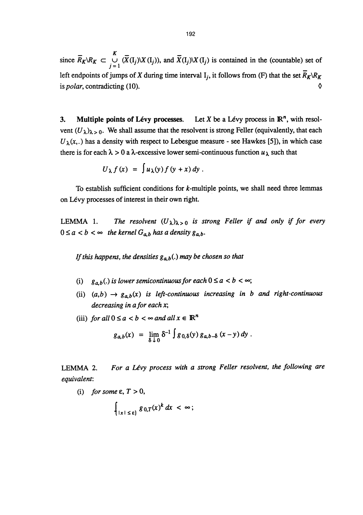since  $\overline{R}_K \setminus R_K \subset \bigcup_{j=1}^K (\overline{X}(I_j) \setminus X(I_j))$ , and  $\overline{X}(I_j) \setminus X(I_j)$  is contained in the (countable) set of left endpoints of jumps of X during time interval I<sub>i</sub>, it follows from (F) that the set  $\overline{R}_K \backslash R_K$ is *polar*, contradicting (10).  $\Diamond$ 

3. Multiple points of Lévy processes. Let X be a Lévy process in  $\mathbb{R}^n$ , with resolvent  $(U_{\lambda})_{\lambda>0}$ . We shall assume that the resolvent is strong Feller (equivalently, that each  $U_{\lambda}(x,.)$  has a density with respect to Lebesgue measure - see Hawkes [5]), in which case there is for each  $\lambda > 0$  a  $\lambda$ -excessive lower semi-continuous function  $u_{\lambda}$  such that

$$
U_{\lambda} f(x) = \int u_{\lambda}(y) f(y+x) dy.
$$

To establish sufficient conditions for  $k$ -multiple points, we shall need three lemmas on Lévy processes of interest in their own right.

LEMMA 1. The resolvent  $(U_{\lambda})_{\lambda>0}$  is strong Feller if and only if for every  $0 \le a < b < \infty$  the kernel  $G_{a,b}$  has a density  $g_{a,b}$ .

If this happens, the densities  $g_{ab}$ (.) may be chosen so that

- (i)  $g_{a,b}(.)$  is lower semicontinuous for each  $0 \le a < b < \infty$ ;
- (ii)  $(a,b) \rightarrow g_{a,b}(x)$  is left-continuous increasing in b and right-continuous decreasing in a for each x;
- (iii) for all  $0 \le a < b < \infty$  and all  $x \in \mathbb{R}^n$

$$
g_{a,b}(x) = \lim_{\delta \downarrow 0} \delta^{-1} \int g_{0,\delta}(y) g_{a,b-\delta}(x-y) dy.
$$

LEMMA 2. For a Lévy process with a strong Feller resolvent, the following are equivalent:

(i) for some  $\varepsilon$ ,  $T > 0$ ,

$$
\int_{|x| \leq \varepsilon} g_{0,T}(x)^k dx < \infty;
$$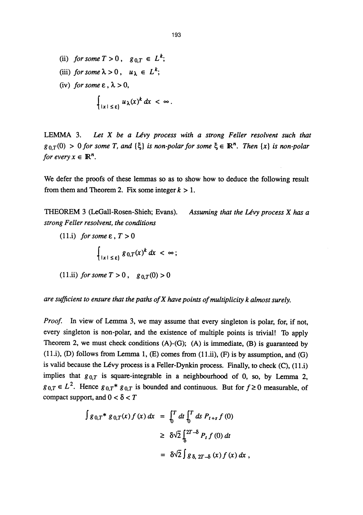(ii) for some  $T > 0$ ,  $g_{0,T} \in L^k$ ; (iii) for some  $\lambda > 0$ ,  $u_{\lambda} \in L^k$ ; (iv) for some  $\varepsilon$ ,  $\lambda > 0$ ,  $\int_{|x| \leq \varepsilon} u_\lambda(x)^k dx < \infty.$ 

LEMMA 3. Let  $X$  be a Lévy process with a strong Feller resolvent such that  $g_{0,T}(0) > 0$  for some T, and  $\{\xi\}$  is non-polar for some  $\xi \in \mathbb{R}^n$ . Then  $\{x\}$  is non-polar for every  $x \in \mathbb{R}^n$ .

We defer the proofs of these lemmas so as to show how to deduce the following result from them and Theorem 2. Fix some integer  $k > 1$ .

THEOREM 3 (LeGall-Rosen-Shieh; Evans). Assuming that the Lévy process X has a strong Feller resolvent, the conditions

(11.i) for some  $\varepsilon$ ,  $T > 0$ 

$$
\int_{|x| \leq \varepsilon} g_{0,T}(x)^k dx < \infty;
$$

(11.ii) for some 
$$
T > 0
$$
,  $g_{0,T}(0) > 0$ 

are sufficient to ensure that the paths of X have points of multiplicity k almost surely.

Proof. In view of Lemma 3, we may assume that every singleton is polar, for, if not, every singleton is non-polar, and the existence of multiple points is trivial! To apply Theorem 2, we must check conditions  $(A)$ - $(G)$ ;  $(A)$  is immediate,  $(B)$  is guaranteed by  $(11. i)$ ,  $(D)$  follows from Lemma 1,  $(E)$  comes from  $(11. ii)$ ,  $(F)$  is by assumption, and  $(G)$ is valid because the Lévy process is a Feller-Dynkin process. Finally, to check (C), {ll.i) implies that  $g_{0,T}$  is square-integrable in a neighbourhood of 0, so, by Lemma 2,  $g_{0,T} \in L^2$ . Hence  $g_{0,T} * g_{0,T}$  is bounded and continuous. But for  $f \ge 0$  measurable, of compact support, and  $0 < \delta < T$ 

$$
\int g_{0,T} * g_{0,T}(x) f(x) dx = \int_0^T dt \int_0^T ds P_{t+s} f(0)
$$
  
\n
$$
\geq \delta \sqrt{2} \int_8^{2T-\delta} P_t f(0) dt
$$
  
\n
$$
= \delta \sqrt{2} \int g_{\delta, 2T-\delta} (x) f(x) dx,
$$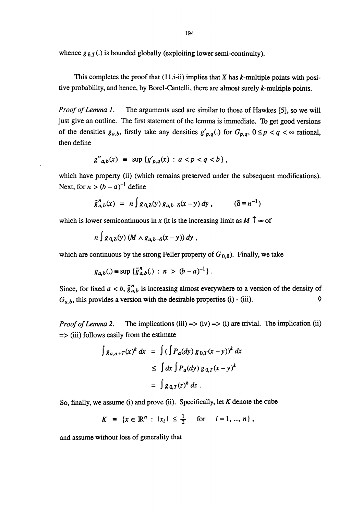whence  $g_{\delta,T}$ .) is bounded globally (exploiting lower semi-continuity).

This completes the proof that  $(11.i-ii)$  implies that X has k-multiple points with positive probability, and hence, by Borel-Cantelli, there are almost surely  $k$ -multiple points.

Proof of Lemma 1. The arguments used are similar to those of Hawkes [5], so we will just give an outline. The first statement of the lemma is immediate. To get good versions of the densities  $g_{a,b}$ , firstly take any densities  $g'_{p,q}$ . for  $G_{p,q}$ ,  $0 \le p < q < \infty$  rational, then define

$$
g''_{a,b}(x) \equiv \sup \{g'_{p,q}(x) : a < p < q < b\},\,
$$

which have property (ii) (which remains preserved under the subsequent modifications). Next, for  $n > (b - a)^{-1}$  define

$$
\tilde{g}_{a,b}^{n}(x) = n \int g_{0,\delta}(y) g_{a,b-\delta}(x-y) dy , \qquad (\delta \equiv n^{-1})
$$

which is lower semicontinuous in x (it is the increasing limit as  $M \uparrow \infty$  of

$$
n\int g_{0,\delta}(y) (M \wedge g_{a,b-\delta}(x-y)) dy ,
$$

which are continuous by the strong Feller property of  $G_{0,\delta}$ ). Finally, we take

$$
g_{a,b}(.) \equiv \sup \{ \tilde{g}_{a,b}^n(.) : n > (b-a)^{-1} \}.
$$

Since, for fixed  $a < b$ ,  $\tilde{g}_{a,b}^n$  is increasing almost everywhere to a version of the density of  $G_{a,b}$  this provides a version with the desirable properties (i) - (iii).  $G_{a,b}$ , this provides a version with the desirable properties (i) - (iii).

*Proof of Lemma 2.* The implications (iii)  $\Rightarrow$  (iv)  $\Rightarrow$  (i) are trivial. The implication (ii) => (iii) follows easily from the estimate

$$
\int g_{a,a+T}(x)^k dx = \int (\int P_a(dy) g_{0,T}(x-y))^k dx
$$
  
\n
$$
\leq \int dx \int P_a(dy) g_{0,T}(x-y)^k
$$
  
\n
$$
= \int g_{0,T}(z)^k dz.
$$

So, finally, we assume (i) and prove (ii). Specifically, let  $K$  denote the cube

$$
K = \{x \in \mathbb{R}^n : |x_i| \leq \frac{1}{2} \quad \text{for} \quad i = 1, ..., n\},\
$$

and assume without loss of generality that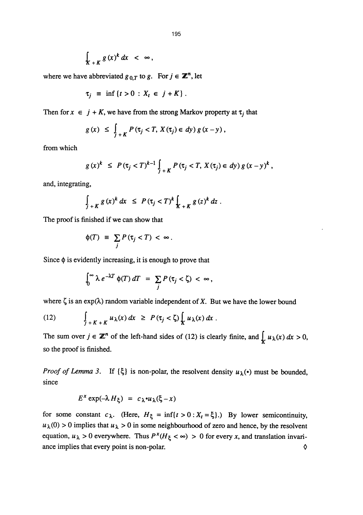$$
\int_{K+K} g(x)^k dx < \infty,
$$

where we have abbreviated  $g_{0,T}$  to  $g$ . For  $j \in \mathbb{Z}^n$ , let

$$
\tau_j \equiv \inf \{ t > 0 : X_t \in j + K \} .
$$

Then for  $x \in j + K$ , we have from the strong Markov property at  $\tau_i$  that

$$
g(x) \leq \int_{j+K} P(\tau_j < T, X(\tau_j) \in dy) g(x-y),
$$

from which

$$
g(x)^k \le P(\tau_j < T)^{k-1} \int_{j+K} P(\tau_j < T, X(\tau_j) \in dy) g(x-y)^k,
$$

and, integrating,

$$
\int_{J+K} g(x)^k dx \leq P(\tau_j < T)^k \int_{K+K} g(z)^k dz.
$$

The proof is finished if we can show that

$$
\phi(T) \equiv \sum_j P(\tau_j < T) < \infty \, .
$$

Since  $\phi$  is evidently increasing, it is enough to prove that

$$
\int_0^\infty \lambda \, e^{-\lambda T} \, \phi(T) \, dT \ = \ \sum_j P(\tau_j < \zeta) \ < \ \infty \,,
$$

where  $\zeta$  is an exp( $\lambda$ ) random variable independent of X. But we have the lower bound

(12) 
$$
\int_{j+K+K} u_\lambda(x) dx \geq P(\tau_j < \zeta) \int_K u_\lambda(x) dx.
$$

The sum over  $j \in \mathbb{Z}^n$  of the left-hand sides of (12) is clearly finite, and  $\int_{\mathcal{X}} u_\lambda(x) dx > 0$ , so the proof is finished.

*Proof of Lemma 3.* If  $\{\xi\}$  is non-polar, the resolvent density  $u_{\lambda}(\cdot)$  must be bounded, since

$$
E^x \exp(-\lambda H_\xi) = c_\lambda \cdot u_\lambda(\xi - x)
$$

for some constant  $c_{\lambda}$ . (Here,  $H_{\xi} = \inf \{ t > 0 : X_t = \xi \}$ .) By lower semicontinuity,  $u_{\lambda}(0) > 0$  implies that  $u_{\lambda} > 0$  in some neighbourhood of zero and hence, by the resolvent equation,  $u_{\lambda} > 0$  everywhere. Thus  $P^x(H_{\xi} < \infty) > 0$  for every x, and translation invariance implies that every point is non-polar.  $\Diamond$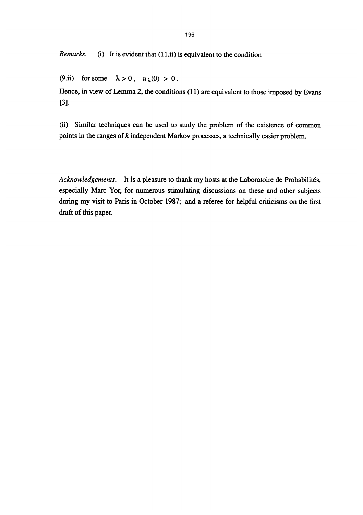*Remarks.* (i) It is evident that  $(11.ii)$  is equivalent to the condition

(9.ii) for some  $\lambda > 0$ ,  $u_{\lambda}(0) > 0$ .

Hence, in view of Lemma 2, the conditions (11) are equivalent to those imposed by Evans [3].

(ii) Similar techniques can be used to study the problem of the existence of common points in the ranges of k independent Markov processes, a technically easier problem.

Acknowledgements. It is a pleasure to thank my hosts at the Laboratoire de Probabilités, especially Marc Yor, for numerous stimulating discussions on these and other subjects during my visit to Paris in October 1987; and a referee for helpful criticisms on the first draft of this paper.